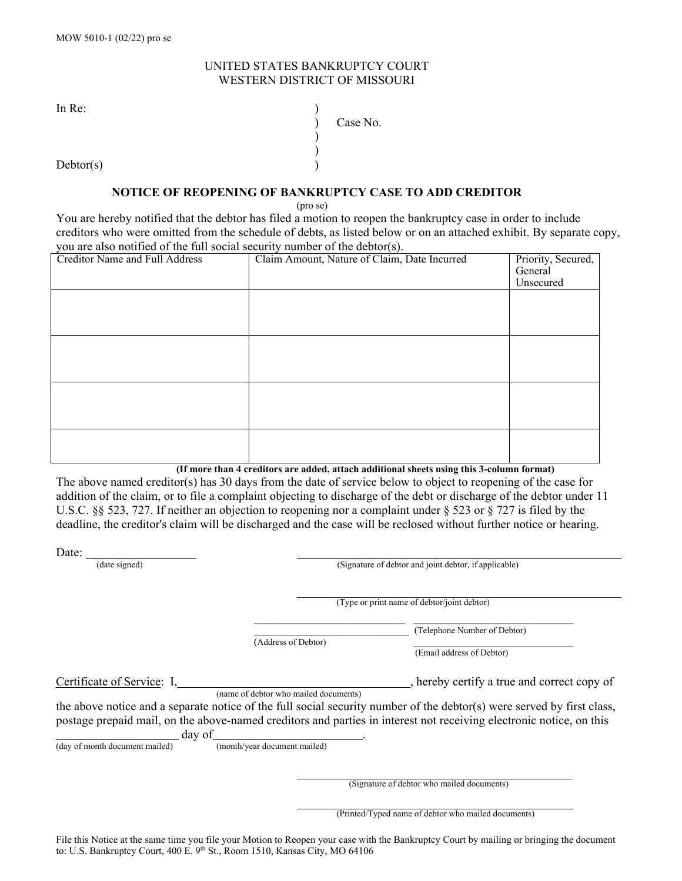## UNITED STATES BANKRUPTCY COURT WESTERN DISTRICT OF MISSOURI

In Re:  $\qquad \qquad$  )

 $Dektor(s)$ 

## **NOTICE OF REOPENING OF BANKRUPTCY CASE TO ADD CREDITOR**

) )

(pro se)

You are hereby notified that the debtor has filed a motion to reopen the bankruptcy case in order to include creditors who were omitted from the schedule of debts, as listed below or on an attached exhibit. By separate copy, you are also notified of the full social security number of the debtor(s).

) Case No.

| <b>Creditor Name and Full Address</b> | Claim Amount, Nature of Claim, Date Incurred | Priority, Secured,<br>General<br>Unsecured |
|---------------------------------------|----------------------------------------------|--------------------------------------------|
|                                       |                                              |                                            |
|                                       |                                              |                                            |
|                                       |                                              |                                            |
|                                       |                                              |                                            |
|                                       |                                              |                                            |

**(If more than 4 creditors are added, attach additional sheets using this 3-column format)** 

The above named creditor(s) has 30 days from the date of service below to object to reopening of the case for addition of the claim, or to file a complaint objecting to discharge of the debt or discharge of the debtor under 11 U.S.C. §§ 523, 727. If neither an objection to reopening nor a complaint under § 523 or § 727 is filed by the deadline, the creditor's claim will be discharged and the case will be reclosed without further notice or hearing.

Date: (date signed)

(Type or print name of debtor/joint debtor)

\_\_\_\_\_\_\_\_\_\_\_\_\_\_\_\_\_\_\_\_\_\_\_\_\_\_\_\_\_\_\_ (Telephone Number of Debtor)

(Address of Debtor) \_\_\_\_\_\_\_\_\_\_\_\_\_\_\_\_\_\_\_\_\_\_\_\_\_\_\_\_\_\_\_\_\_\_\_\_

(name of debtor who mailed documents)

(Email address of Debtor)

Certificate of Service: I, ereby certify a true and correct copy of

the above notice and a separate notice of the full social security number of the debtor(s) were served by first class, postage prepaid mail, on the above-named creditors and parties in interest not receiving electronic notice, on this

 $(day of month document mailed)$ 

 $\frac{1}{2}$  day of  $\frac{1}{2}$  (month/year document mailed)

(Signature of debtor who mailed documents)

| (Printed/Typed name of debtor who mailed documents) |  |
|-----------------------------------------------------|--|
|-----------------------------------------------------|--|

File this Notice at the same time you file your Motion to Reopen your case with the Bankruptcy Court by mailing or bringing the document to: U.S. Bankruptcy Court, 400 E. 9<sup>th</sup> St., Room 1510, Kansas City, MO 64106